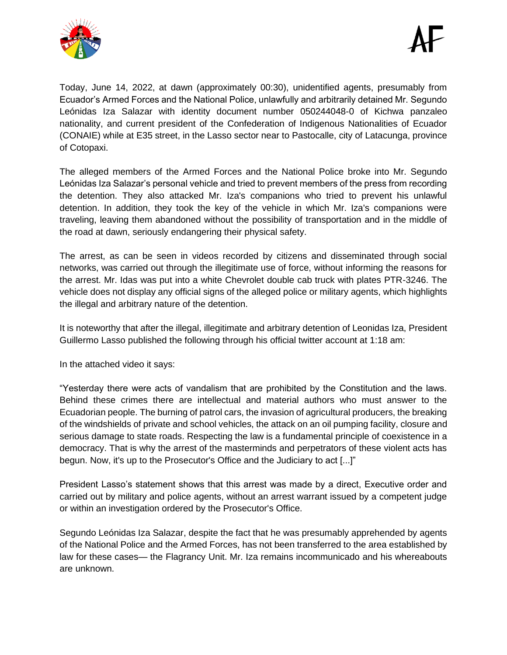



Today, June 14, 2022, at dawn (approximately 00:30), unidentified agents, presumably from Ecuador's Armed Forces and the National Police, unlawfully and arbitrarily detained Mr. Segundo Leónidas Iza Salazar with identity document number 050244048-0 of Kichwa panzaleo nationality, and current president of the Confederation of Indigenous Nationalities of Ecuador (CONAIE) while at E35 street, in the Lasso sector near to Pastocalle, city of Latacunga, province of Cotopaxi.

The alleged members of the Armed Forces and the National Police broke into Mr. Segundo Leónidas Iza Salazar's personal vehicle and tried to prevent members of the press from recording the detention. They also attacked Mr. Iza's companions who tried to prevent his unlawful detention. In addition, they took the key of the vehicle in which Mr. Iza's companions were traveling, leaving them abandoned without the possibility of transportation and in the middle of the road at dawn, seriously endangering their physical safety.

The arrest, as can be seen in videos recorded by citizens and disseminated through social networks, was carried out through the illegitimate use of force, without informing the reasons for the arrest. Mr. Idas was put into a white Chevrolet double cab truck with plates PTR-3246. The vehicle does not display any official signs of the alleged police or military agents, which highlights the illegal and arbitrary nature of the detention.

It is noteworthy that after the illegal, illegitimate and arbitrary detention of Leonidas Iza, President Guillermo Lasso published the following through his official twitter account at 1:18 am:

In the attached video it says:

"Yesterday there were acts of vandalism that are prohibited by the Constitution and the laws. Behind these crimes there are intellectual and material authors who must answer to the Ecuadorian people. The burning of patrol cars, the invasion of agricultural producers, the breaking of the windshields of private and school vehicles, the attack on an oil pumping facility, closure and serious damage to state roads. Respecting the law is a fundamental principle of coexistence in a democracy. That is why the arrest of the masterminds and perpetrators of these violent acts has begun. Now, it's up to the Prosecutor's Office and the Judiciary to act [...]"

President Lasso's statement shows that this arrest was made by a direct, Executive order and carried out by military and police agents, without an arrest warrant issued by a competent judge or within an investigation ordered by the Prosecutor's Office.

Segundo Leónidas Iza Salazar, despite the fact that he was presumably apprehended by agents of the National Police and the Armed Forces, has not been transferred to the area established by law for these cases— the Flagrancy Unit. Mr. Iza remains incommunicado and his whereabouts are unknown.